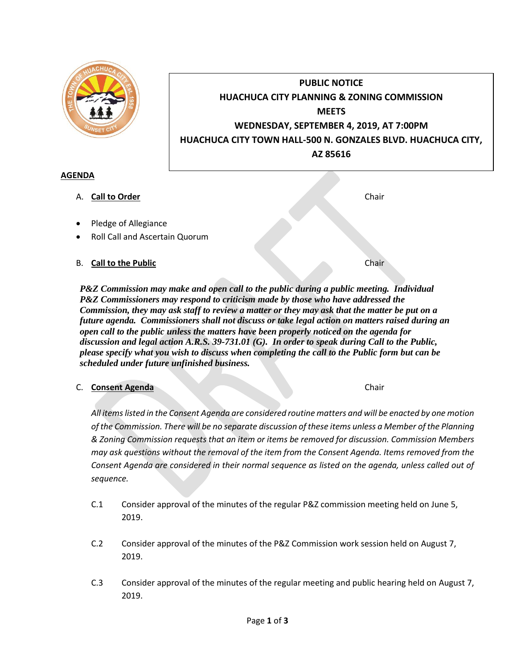| <b>UNSET CI</b>                                                                                | <b>PUBLIC NOTICE</b><br><b>HUACHUCA CITY PLANNING &amp; ZONING COMMISSION</b><br><b>MEETS</b><br>WEDNESDAY, SEPTEMBER 4, 2019, AT 7:00PM<br>HUACHUCA CITY TOWN HALL-500 N. GONZALES BLVD. HUACHUCA CITY,<br>AZ 85616 |  |  |
|------------------------------------------------------------------------------------------------|----------------------------------------------------------------------------------------------------------------------------------------------------------------------------------------------------------------------|--|--|
| <b>AGENDA</b>                                                                                  |                                                                                                                                                                                                                      |  |  |
| <b>Call to Order</b><br>А.                                                                     | Chair                                                                                                                                                                                                                |  |  |
| Pledge of Allegiance                                                                           |                                                                                                                                                                                                                      |  |  |
| Roll Call and Ascertain Quorum                                                                 |                                                                                                                                                                                                                      |  |  |
| <b>Call to the Public</b><br>В.                                                                | Chair                                                                                                                                                                                                                |  |  |
| <b>DRZ</b> Commission was make and open call to the public during a public meeting. Individual |                                                                                                                                                                                                                      |  |  |

*P&Z Commission may make and open call to the public during a public meeting. Individual P&Z Commissioners may respond to criticism made by those who have addressed the Commission, they may ask staff to review a matter or they may ask that the matter be put on a future agenda. Commissioners shall not discuss or take legal action on matters raised during an open call to the public unless the matters have been properly noticed on the agenda for discussion and legal action A.R.S. 39-731.01 (G). In order to speak during Call to the Public, please specify what you wish to discuss when completing the call to the Public form but can be scheduled under future unfinished business.*

## C. **Consent Agenda** Chair

*All items listed in the Consent Agenda are considered routine matters and will be enacted by one motion of the Commission. There will be no separate discussion of these items unless a Member of the Planning & Zoning Commission requests that an item or items be removed for discussion. Commission Members may ask questions without the removal of the item from the Consent Agenda. Items removed from the Consent Agenda are considered in their normal sequence as listed on the agenda, unless called out of sequence.*

- C.1 Consider approval of the minutes of the regular P&Z commission meeting held on June 5, 2019.
- C.2 Consider approval of the minutes of the P&Z Commission work session held on August 7, 2019.
- C.3 Consider approval of the minutes of the regular meeting and public hearing held on August 7, 2019.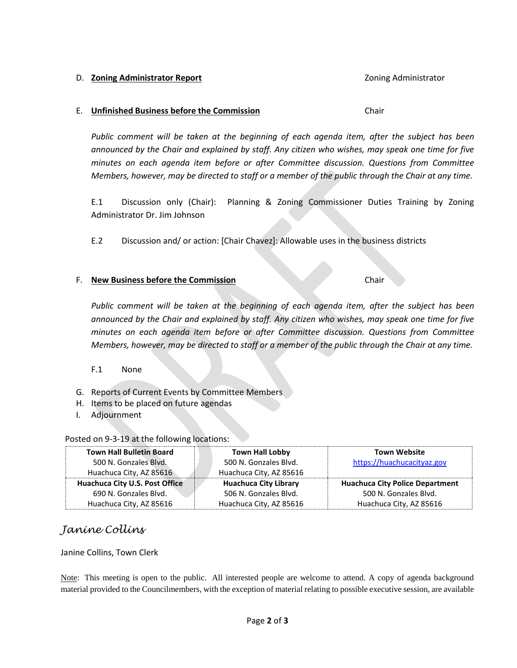#### D. **Zoning Administrator Report Contract Contract Administrator Report** 2011 **Zoning Administrator**

#### E. **Unfinished Business before the Commission** Chair

*Public comment will be taken at the beginning of each agenda item, after the subject has been announced by the Chair and explained by staff. Any citizen who wishes, may speak one time for five minutes on each agenda item before or after Committee discussion. Questions from Committee Members, however, may be directed to staff or a member of the public through the Chair at any time.*

E.1 Discussion only (Chair): Planning & Zoning Commissioner Duties Training by Zoning Administrator Dr. Jim Johnson

E.2 Discussion and/ or action: [Chair Chavez]: Allowable uses in the business districts

#### F. **New Business before the Commission** Chair

*Public comment will be taken at the beginning of each agenda item, after the subject has been announced by the Chair and explained by staff. Any citizen who wishes, may speak one time for five minutes on each agenda item before or after Committee discussion. Questions from Committee Members, however, may be directed to staff or a member of the public through the Chair at any time.*

## F.1 None

- G. Reports of Current Events by Committee Members
- H. Items to be placed on future agendas
- I. Adjournment

## Posted on 9-3-19 at the following locations:

| <b>Town Hall Bulletin Board</b> | <b>Town Hall Lobby</b>       | <b>Town Website</b>                    |
|---------------------------------|------------------------------|----------------------------------------|
| 500 N. Gonzales Blvd.           | 500 N. Gonzales Blvd.        | https://huachucacityaz.gov             |
| Huachuca City, AZ 85616         | Huachuca City, AZ 85616      |                                        |
| Huachuca City U.S. Post Office  | <b>Huachuca City Library</b> | <b>Huachuca City Police Department</b> |
| 690 N. Gonzales Blyd.           | 506 N. Gonzales Blvd.        | 500 N. Gonzales Blvd.                  |
| Huachuca City, AZ 85616         | Huachuca City, AZ 85616      | Huachuca City, AZ 85616                |

# *Janine Collins*

## Janine Collins, Town Clerk

Note: This meeting is open to the public. All interested people are welcome to attend. A copy of agenda background material provided to the Councilmembers, with the exception of material relating to possible executive session, are available